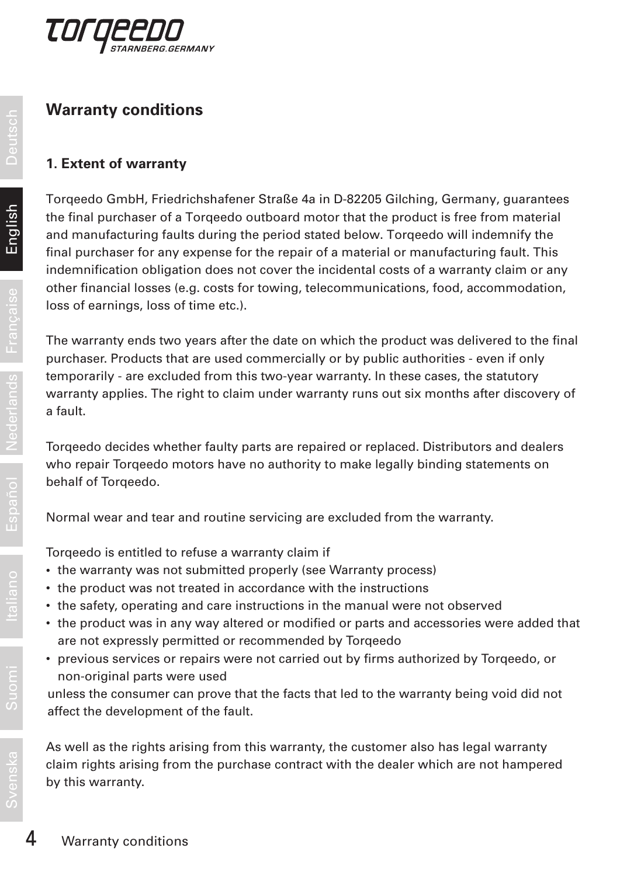

## **Warranty conditions**

#### **1. Extent of warranty**

Torqeedo GmbH, Friedrichshafener Straße 4a in D-82205 Gilching, Germany, guarantees the final purchaser of a Torqeedo outboard motor that the product is free from material and manufacturing faults during the period stated below. Torqeedo will indemnify the final purchaser for any expense for the repair of a material or manufacturing fault. This indemnification obligation does not cover the incidental costs of a warranty claim or any other financial losses (e.g. costs for towing, telecommunications, food, accommodation, loss of earnings, loss of time etc.).

The warranty ends two years after the date on which the product was delivered to the final purchaser. Products that are used commercially or by public authorities - even if only temporarily - are excluded from this two-year warranty. In these cases, the statutory warranty applies. The right to claim under warranty runs out six months after discovery of a fault.

Torqeedo decides whether faulty parts are repaired or replaced. Distributors and dealers who repair Torqeedo motors have no authority to make legally binding statements on behalf of Torgeedo.

Normal wear and tear and routine servicing are excluded from the warranty.

Torqeedo is entitled to refuse a warranty claim if

- the warranty was not submitted properly (see Warranty process)
- the product was not treated in accordance with the instructions
- the safety, operating and care instructions in the manual were not observed
- the product was in any way altered or modified or parts and accessories were added that are not expressly permitted or recommended by Torqeedo
- previous services or repairs were not carried out by firms authorized by Torqeedo, or non-original parts were used

unless the consumer can prove that the facts that led to the warranty being void did not affect the development of the fault.

As well as the rights arising from this warranty, the customer also has legal warranty claim rights arising from the purchase contract with the dealer which are not hampered by this warranty.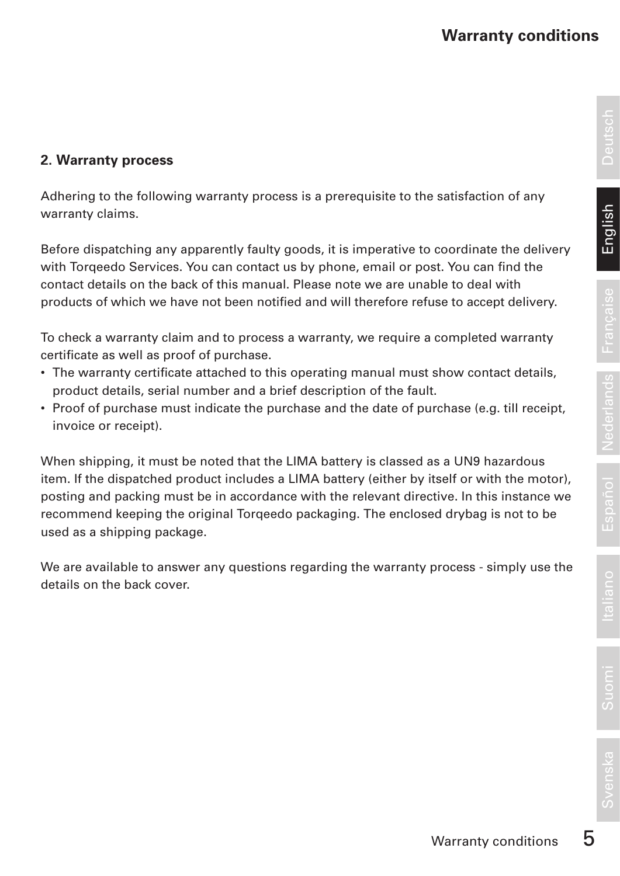# **2. Warranty process**

Adhering to the following warranty process is a prerequisite to the satisfaction of any warranty claims.

Before dispatching any apparently faulty goods, it is imperative to coordinate the delivery with Torqeedo Services. You can contact us by phone, email or post. You can find the contact details on the back of this manual. Please note we are unable to deal with products of which we have not been notified and will therefore refuse to accept delivery.

To check a warranty claim and to process a warranty, we require a completed warranty certificate as well as proof of purchase.

- The warranty certificate attached to this operating manual must show contact details, product details, serial number and a brief description of the fault.
- Proof of purchase must indicate the purchase and the date of purchase (e.g. till receipt, invoice or receipt).

When shipping, it must be noted that the LIMA battery is classed as a UN9 hazardous item. If the dispatched product includes a LIMA battery (either by itself or with the motor), posting and packing must be in accordance with the relevant directive. In this instance we recommend keeping the original Torqeedo packaging. The enclosed drybag is not to be used as a shipping package.

We are available to answer any questions regarding the warranty process - simply use the details on the back cover.